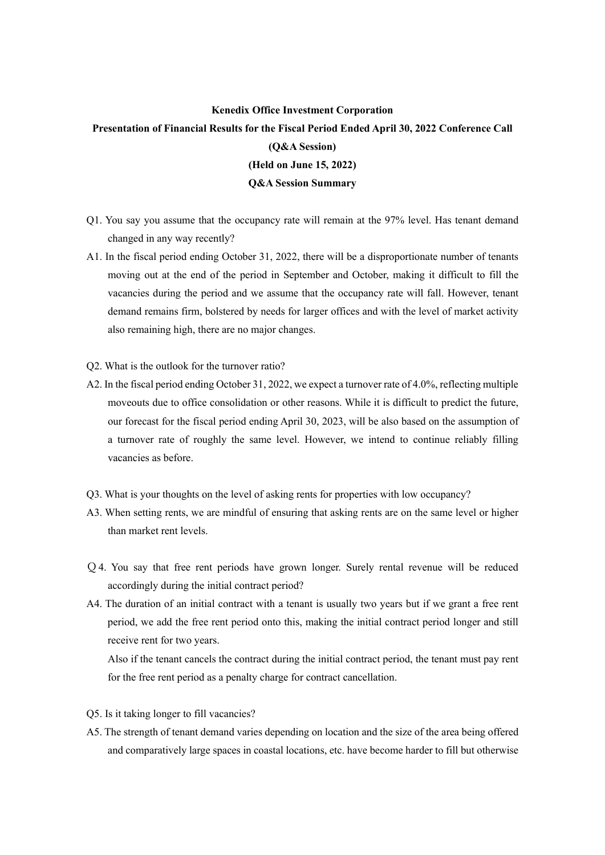## **Kenedix Office Investment Corporation**

## **Presentation of Financial Results for the Fiscal Period Ended April 30, 2022 Conference Call (Q&A Session) (Held on June 15, 2022) Q&A Session Summary**

- Q1. You say you assume that the occupancy rate will remain at the 97% level. Has tenant demand changed in any way recently?
- A1. In the fiscal period ending October 31, 2022, there will be a disproportionate number of tenants moving out at the end of the period in September and October, making it difficult to fill the vacancies during the period and we assume that the occupancy rate will fall. However, tenant demand remains firm, bolstered by needs for larger offices and with the level of market activity also remaining high, there are no major changes.
- Q2. What is the outlook for the turnover ratio?
- A2. In the fiscal period ending October 31, 2022, we expect a turnover rate of 4.0%, reflecting multiple moveouts due to office consolidation or other reasons. While it is difficult to predict the future, our forecast for the fiscal period ending April 30, 2023, will be also based on the assumption of a turnover rate of roughly the same level. However, we intend to continue reliably filling vacancies as before.
- Q3. What is your thoughts on the level of asking rents for properties with low occupancy?
- A3. When setting rents, we are mindful of ensuring that asking rents are on the same level or higher than market rent levels.
- Q4. You say that free rent periods have grown longer. Surely rental revenue will be reduced accordingly during the initial contract period?
- A4. The duration of an initial contract with a tenant is usually two years but if we grant a free rent period, we add the free rent period onto this, making the initial contract period longer and still receive rent for two years.

Also if the tenant cancels the contract during the initial contract period, the tenant must pay rent for the free rent period as a penalty charge for contract cancellation.

- Q5. Is it taking longer to fill vacancies?
- A5. The strength of tenant demand varies depending on location and the size of the area being offered and comparatively large spaces in coastal locations, etc. have become harder to fill but otherwise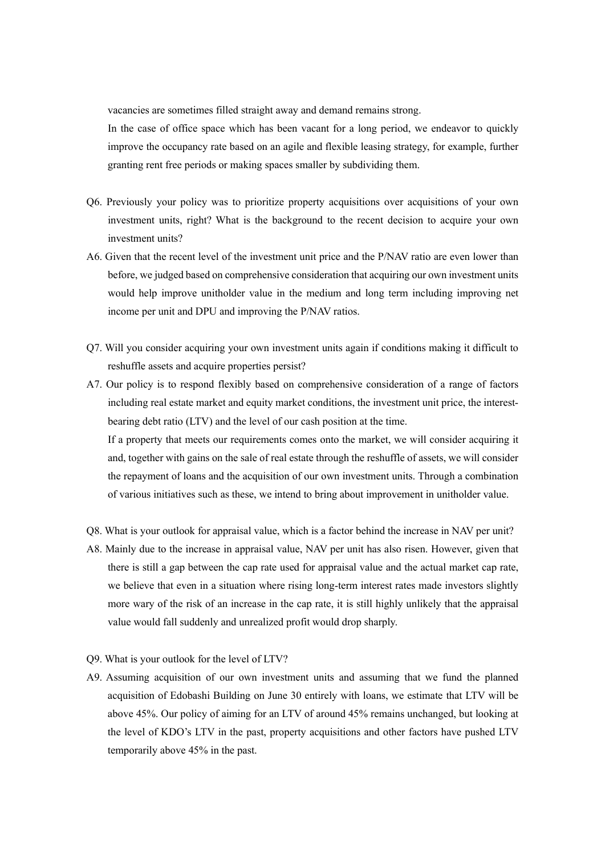vacancies are sometimes filled straight away and demand remains strong.

 In the case of office space which has been vacant for a long period, we endeavor to quickly improve the occupancy rate based on an agile and flexible leasing strategy, for example, further granting rent free periods or making spaces smaller by subdividing them.

- Q6. Previously your policy was to prioritize property acquisitions over acquisitions of your own investment units, right? What is the background to the recent decision to acquire your own investment units?
- A6. Given that the recent level of the investment unit price and the P/NAV ratio are even lower than before, we judged based on comprehensive consideration that acquiring our own investment units would help improve unitholder value in the medium and long term including improving net income per unit and DPU and improving the P/NAV ratios.
- Q7. Will you consider acquiring your own investment units again if conditions making it difficult to reshuffle assets and acquire properties persist?
- A7. Our policy is to respond flexibly based on comprehensive consideration of a range of factors including real estate market and equity market conditions, the investment unit price, the interestbearing debt ratio (LTV) and the level of our cash position at the time. If a property that meets our requirements comes onto the market, we will consider acquiring it and, together with gains on the sale of real estate through the reshuffle of assets, we will consider

the repayment of loans and the acquisition of our own investment units. Through a combination of various initiatives such as these, we intend to bring about improvement in unitholder value.

- Q8. What is your outlook for appraisal value, which is a factor behind the increase in NAV per unit?
- A8. Mainly due to the increase in appraisal value, NAV per unit has also risen. However, given that there is still a gap between the cap rate used for appraisal value and the actual market cap rate, we believe that even in a situation where rising long-term interest rates made investors slightly more wary of the risk of an increase in the cap rate, it is still highly unlikely that the appraisal value would fall suddenly and unrealized profit would drop sharply.

## Q9. What is your outlook for the level of LTV?

A9. Assuming acquisition of our own investment units and assuming that we fund the planned acquisition of Edobashi Building on June 30 entirely with loans, we estimate that LTV will be above 45%. Our policy of aiming for an LTV of around 45% remains unchanged, but looking at the level of KDO's LTV in the past, property acquisitions and other factors have pushed LTV temporarily above 45% in the past.